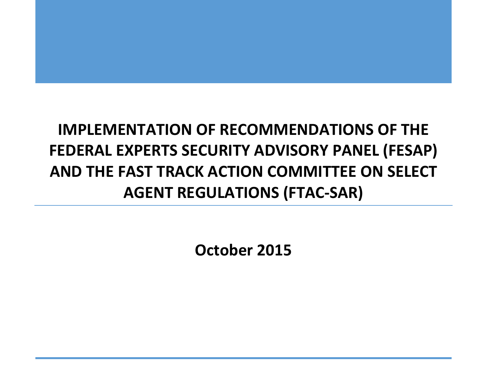**October 2015**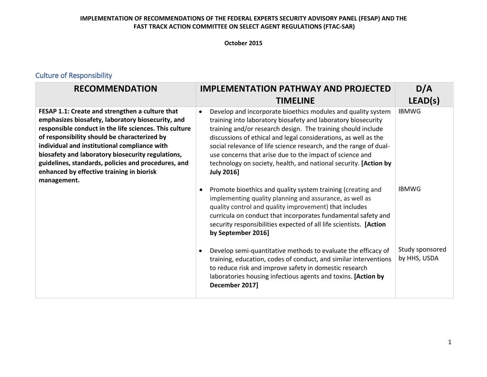#### **October 2015**

# Culture of Responsibility

| <b>RECOMMENDATION</b>                                                                                                                                                                                                                                                                                                                                                                                                                  | <b>IMPLEMENTATION PATHWAY AND PROJECTED</b>                                                                                                                                                                                                                                                                                                                                                                                                                                                             | D/A                             |
|----------------------------------------------------------------------------------------------------------------------------------------------------------------------------------------------------------------------------------------------------------------------------------------------------------------------------------------------------------------------------------------------------------------------------------------|---------------------------------------------------------------------------------------------------------------------------------------------------------------------------------------------------------------------------------------------------------------------------------------------------------------------------------------------------------------------------------------------------------------------------------------------------------------------------------------------------------|---------------------------------|
|                                                                                                                                                                                                                                                                                                                                                                                                                                        | <b>TIMELINE</b>                                                                                                                                                                                                                                                                                                                                                                                                                                                                                         | LEAD(s)                         |
| FESAP 1.1: Create and strengthen a culture that<br>emphasizes biosafety, laboratory biosecurity, and<br>responsible conduct in the life sciences. This culture<br>of responsibility should be characterized by<br>individual and institutional compliance with<br>biosafety and laboratory biosecurity regulations,<br>guidelines, standards, policies and procedures, and<br>enhanced by effective training in biorisk<br>management. | Develop and incorporate bioethics modules and quality system<br>$\bullet$<br>training into laboratory biosafety and laboratory biosecurity<br>training and/or research design. The training should include<br>discussions of ethical and legal considerations, as well as the<br>social relevance of life science research, and the range of dual-<br>use concerns that arise due to the impact of science and<br>technology on society, health, and national security. [Action by<br><b>July 2016]</b> | <b>IBMWG</b>                    |
|                                                                                                                                                                                                                                                                                                                                                                                                                                        | Promote bioethics and quality system training (creating and<br>$\bullet$<br>implementing quality planning and assurance, as well as<br>quality control and quality improvement) that includes<br>curricula on conduct that incorporates fundamental safety and<br>security responsibilities expected of all life scientists. [Action<br>by September 2016]                                                                                                                                              | <b>IBMWG</b>                    |
|                                                                                                                                                                                                                                                                                                                                                                                                                                        | Develop semi-quantitative methods to evaluate the efficacy of<br>$\bullet$<br>training, education, codes of conduct, and similar interventions<br>to reduce risk and improve safety in domestic research<br>laboratories housing infectious agents and toxins. [Action by<br>December 2017]                                                                                                                                                                                                             | Study sponsored<br>by HHS, USDA |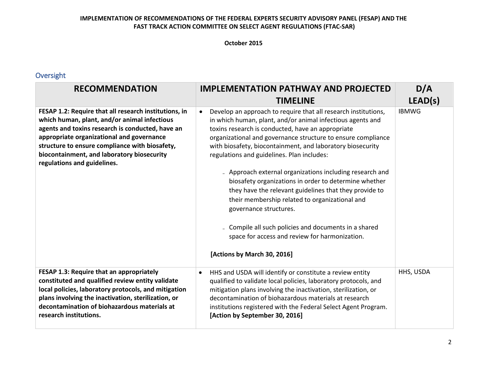#### **October 2015**

### Oversight

| <b>RECOMMENDATION</b>                                                                                                                                                                                                                                                                                                                 | <b>IMPLEMENTATION PATHWAY AND PROJECTED</b>                                                                                                                                                                                                                                                                                                                                                                                                                                                                                                                                                                                                                                                                                                                        | D/A          |
|---------------------------------------------------------------------------------------------------------------------------------------------------------------------------------------------------------------------------------------------------------------------------------------------------------------------------------------|--------------------------------------------------------------------------------------------------------------------------------------------------------------------------------------------------------------------------------------------------------------------------------------------------------------------------------------------------------------------------------------------------------------------------------------------------------------------------------------------------------------------------------------------------------------------------------------------------------------------------------------------------------------------------------------------------------------------------------------------------------------------|--------------|
|                                                                                                                                                                                                                                                                                                                                       | <b>TIMELINE</b>                                                                                                                                                                                                                                                                                                                                                                                                                                                                                                                                                                                                                                                                                                                                                    | LEAD(s)      |
| FESAP 1.2: Require that all research institutions, in<br>which human, plant, and/or animal infectious<br>agents and toxins research is conducted, have an<br>appropriate organizational and governance<br>structure to ensure compliance with biosafety,<br>biocontainment, and laboratory biosecurity<br>regulations and guidelines. | Develop an approach to require that all research institutions,<br>in which human, plant, and/or animal infectious agents and<br>toxins research is conducted, have an appropriate<br>organizational and governance structure to ensure compliance<br>with biosafety, biocontainment, and laboratory biosecurity<br>regulations and guidelines. Plan includes:<br>- Approach external organizations including research and<br>biosafety organizations in order to determine whether<br>they have the relevant guidelines that they provide to<br>their membership related to organizational and<br>governance structures.<br>- Compile all such policies and documents in a shared<br>space for access and review for harmonization.<br>[Actions by March 30, 2016] | <b>IBMWG</b> |
| FESAP 1.3: Require that an appropriately<br>constituted and qualified review entity validate<br>local policies, laboratory protocols, and mitigation<br>plans involving the inactivation, sterilization, or<br>decontamination of biohazardous materials at<br>research institutions.                                                 | HHS and USDA will identify or constitute a review entity<br>$\bullet$<br>qualified to validate local policies, laboratory protocols, and<br>mitigation plans involving the inactivation, sterilization, or<br>decontamination of biohazardous materials at research<br>institutions registered with the Federal Select Agent Program.<br>[Action by September 30, 2016]                                                                                                                                                                                                                                                                                                                                                                                            | HHS, USDA    |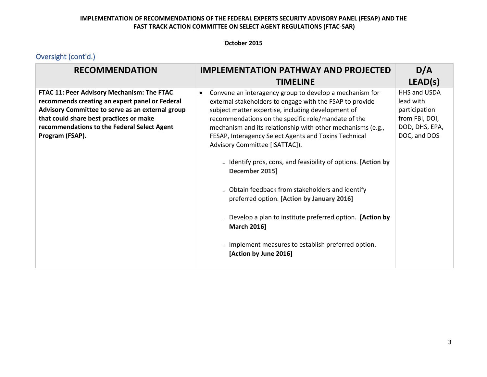#### **October 2015**

| <b>RECOMMENDATION</b>                                                                                                                                                                                                                                         | <b>IMPLEMENTATION PATHWAY AND PROJECTED</b>                                                                                                                                                                                                                                                                                                                                                                                                                                                                                                                                                                                                                                                                                                                      | D/A                                                                                            |
|---------------------------------------------------------------------------------------------------------------------------------------------------------------------------------------------------------------------------------------------------------------|------------------------------------------------------------------------------------------------------------------------------------------------------------------------------------------------------------------------------------------------------------------------------------------------------------------------------------------------------------------------------------------------------------------------------------------------------------------------------------------------------------------------------------------------------------------------------------------------------------------------------------------------------------------------------------------------------------------------------------------------------------------|------------------------------------------------------------------------------------------------|
|                                                                                                                                                                                                                                                               | <b>TIMELINE</b>                                                                                                                                                                                                                                                                                                                                                                                                                                                                                                                                                                                                                                                                                                                                                  | LEAD(s)                                                                                        |
| FTAC 11: Peer Advisory Mechanism: The FTAC<br>recommends creating an expert panel or Federal<br>Advisory Committee to serve as an external group<br>that could share best practices or make<br>recommendations to the Federal Select Agent<br>Program (FSAP). | Convene an interagency group to develop a mechanism for<br>$\bullet$<br>external stakeholders to engage with the FSAP to provide<br>subject matter expertise, including development of<br>recommendations on the specific role/mandate of the<br>mechanism and its relationship with other mechanisms (e.g.,<br>FESAP, Interagency Select Agents and Toxins Technical<br>Advisory Committee [ISATTAC]).<br>- Identify pros, cons, and feasibility of options. [Action by<br>December 2015]<br>- Obtain feedback from stakeholders and identify<br>preferred option. [Action by January 2016]<br>- Develop a plan to institute preferred option. [Action by<br><b>March 2016]</b><br>- Implement measures to establish preferred option.<br>[Action by June 2016] | HHS and USDA<br>lead with<br>participation<br>from FBI, DOI,<br>DOD, DHS, EPA,<br>DOC, and DOS |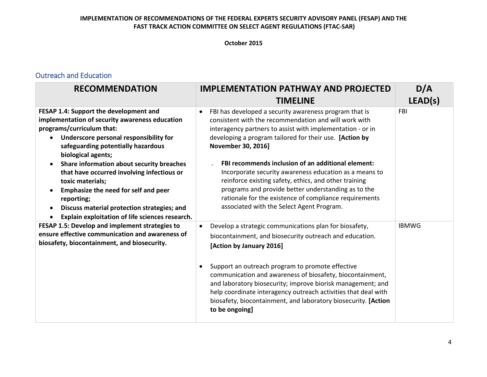#### **October 2015**

## Outreach and Education

| <b>RECOMMENDATION</b>                                                                                                                                                                                                                                                                         | <b>IMPLEMENTATION PATHWAY AND PROJECTED</b>                                                                                                                                                                                                                                                                                                                                                                                                                                                                   | D/A          |
|-----------------------------------------------------------------------------------------------------------------------------------------------------------------------------------------------------------------------------------------------------------------------------------------------|---------------------------------------------------------------------------------------------------------------------------------------------------------------------------------------------------------------------------------------------------------------------------------------------------------------------------------------------------------------------------------------------------------------------------------------------------------------------------------------------------------------|--------------|
|                                                                                                                                                                                                                                                                                               | <b>TIMELINE</b>                                                                                                                                                                                                                                                                                                                                                                                                                                                                                               | LEAD(s)      |
| FESAP 1.4: Support the development and<br>implementation of security awareness education<br>programs/curriculum that:<br>Underscore personal responsibility for<br>safeguarding potentially hazardous<br>biological agents;                                                                   | FBI has developed a security awareness program that is<br>consistent with the recommendation and will work with<br>interagency partners to assist with implementation - or in<br>developing a program tailored for their use. [Action by<br>November 30, 2016]                                                                                                                                                                                                                                                | <b>FBI</b>   |
| Share information about security breaches<br>$\bullet$<br>that have occurred involving infectious or<br>toxic materials;<br>Emphasize the need for self and peer<br>$\bullet$<br>reporting;<br>Discuss material protection strategies; and<br>Explain exploitation of life sciences research. | FBI recommends inclusion of an additional element:<br>Incorporate security awareness education as a means to<br>reinforce existing safety, ethics, and other training<br>programs and provide better understanding as to the<br>rationale for the existence of compliance requirements<br>associated with the Select Agent Program.                                                                                                                                                                           |              |
| FESAP 1.5: Develop and implement strategies to<br>ensure effective communication and awareness of<br>biosafety, biocontainment, and biosecurity.                                                                                                                                              | Develop a strategic communications plan for biosafety,<br>$\bullet$<br>biocontainment, and biosecurity outreach and education.<br>[Action by January 2016]<br>Support an outreach program to promote effective<br>$\bullet$<br>communication and awareness of biosafety, biocontainment,<br>and laboratory biosecurity; improve biorisk management; and<br>help coordinate interagency outreach activities that deal with<br>biosafety, biocontainment, and laboratory biosecurity. [Action<br>to be ongoing] | <b>IBMWG</b> |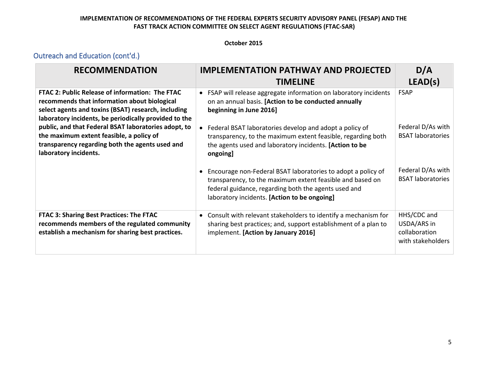#### **October 2015**

# Outreach and Education (cont'd.)

| <b>RECOMMENDATION</b>                                                                                                                                                                                           | <b>IMPLEMENTATION PATHWAY AND PROJECTED</b>                                                                                                                                                                                                    | D/A                                                              |
|-----------------------------------------------------------------------------------------------------------------------------------------------------------------------------------------------------------------|------------------------------------------------------------------------------------------------------------------------------------------------------------------------------------------------------------------------------------------------|------------------------------------------------------------------|
|                                                                                                                                                                                                                 | <b>TIMELINE</b>                                                                                                                                                                                                                                | LEAD(s)                                                          |
| FTAC 2: Public Release of information: The FTAC<br>recommends that information about biological<br>select agents and toxins (BSAT) research, including<br>laboratory incidents, be periodically provided to the | FSAP will release aggregate information on laboratory incidents<br>$\bullet$<br>on an annual basis. [Action to be conducted annually<br>beginning in June 2016]                                                                                | <b>FSAP</b>                                                      |
| public, and that Federal BSAT laboratories adopt, to<br>the maximum extent feasible, a policy of<br>transparency regarding both the agents used and<br>laboratory incidents.                                    | Federal BSAT laboratories develop and adopt a policy of<br>transparency, to the maximum extent feasible, regarding both<br>the agents used and laboratory incidents. [Action to be<br>ongoing]                                                 | Federal D/As with<br><b>BSAT laboratories</b>                    |
|                                                                                                                                                                                                                 | Encourage non-Federal BSAT laboratories to adopt a policy of<br>$\bullet$<br>transparency, to the maximum extent feasible and based on<br>federal guidance, regarding both the agents used and<br>laboratory incidents. [Action to be ongoing] | Federal D/As with<br><b>BSAT laboratories</b>                    |
| FTAC 3: Sharing Best Practices: The FTAC<br>recommends members of the regulated community<br>establish a mechanism for sharing best practices.                                                                  | Consult with relevant stakeholders to identify a mechanism for<br>$\bullet$<br>sharing best practices; and, support establishment of a plan to<br>implement. [Action by January 2016]                                                          | HHS/CDC and<br>USDA/ARS in<br>collaboration<br>with stakeholders |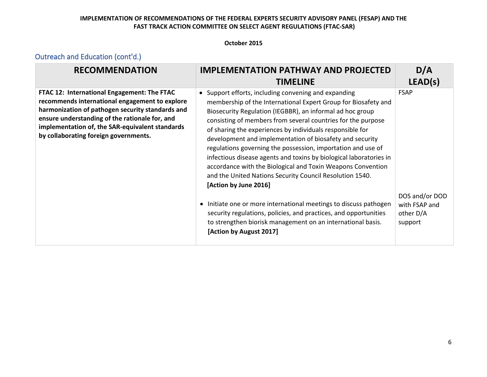#### **October 2015**

# Outreach and Education (cont'd.)

| <b>RECOMMENDATION</b>                                                                                                                                                                                                                                                                           | <b>IMPLEMENTATION PATHWAY AND PROJECTED</b>                                                                                                                                                                                                                                                                                                                                                                                                                                                                                                                                                                                                                          | D/A                                                     |
|-------------------------------------------------------------------------------------------------------------------------------------------------------------------------------------------------------------------------------------------------------------------------------------------------|----------------------------------------------------------------------------------------------------------------------------------------------------------------------------------------------------------------------------------------------------------------------------------------------------------------------------------------------------------------------------------------------------------------------------------------------------------------------------------------------------------------------------------------------------------------------------------------------------------------------------------------------------------------------|---------------------------------------------------------|
|                                                                                                                                                                                                                                                                                                 | <b>TIMELINE</b>                                                                                                                                                                                                                                                                                                                                                                                                                                                                                                                                                                                                                                                      | LEAD(s)                                                 |
| FTAC 12: International Engagement: The FTAC<br>recommends international engagement to explore<br>harmonization of pathogen security standards and<br>ensure understanding of the rationale for, and<br>implementation of, the SAR-equivalent standards<br>by collaborating foreign governments. | Support efforts, including convening and expanding<br>membership of the International Expert Group for Biosafety and<br>Biosecurity Regulation (IEGBBR), an informal ad hoc group<br>consisting of members from several countries for the purpose<br>of sharing the experiences by individuals responsible for<br>development and implementation of biosafety and security<br>regulations governing the possession, importation and use of<br>infectious disease agents and toxins by biological laboratories in<br>accordance with the Biological and Toxin Weapons Convention<br>and the United Nations Security Council Resolution 1540.<br>[Action by June 2016] | <b>FSAP</b>                                             |
|                                                                                                                                                                                                                                                                                                 | Initiate one or more international meetings to discuss pathogen<br>$\bullet$<br>security regulations, policies, and practices, and opportunities<br>to strengthen biorisk management on an international basis.<br>[Action by August 2017]                                                                                                                                                                                                                                                                                                                                                                                                                           | DOS and/or DOD<br>with FSAP and<br>other D/A<br>support |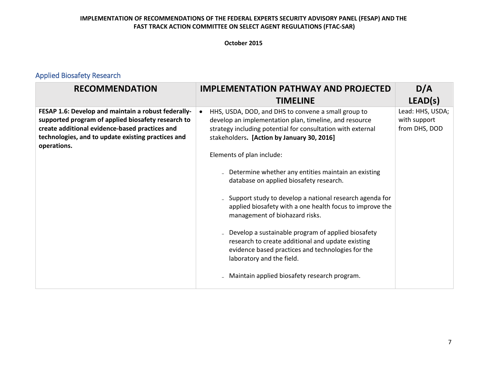#### **October 2015**

# Applied Biosafety Research

| <b>RECOMMENDATION</b>                                                                                                                                                                                                            | <b>IMPLEMENTATION PATHWAY AND PROJECTED</b>                                                                                                                                                                                                                          | D/A                                               |
|----------------------------------------------------------------------------------------------------------------------------------------------------------------------------------------------------------------------------------|----------------------------------------------------------------------------------------------------------------------------------------------------------------------------------------------------------------------------------------------------------------------|---------------------------------------------------|
|                                                                                                                                                                                                                                  | <b>TIMELINE</b>                                                                                                                                                                                                                                                      | LEAD(s)                                           |
| FESAP 1.6: Develop and maintain a robust federally-<br>supported program of applied biosafety research to<br>create additional evidence-based practices and<br>technologies, and to update existing practices and<br>operations. | HHS, USDA, DOD, and DHS to convene a small group to<br>$\bullet$<br>develop an implementation plan, timeline, and resource<br>strategy including potential for consultation with external<br>stakeholders. [Action by January 30, 2016]<br>Elements of plan include: | Lead: HHS, USDA;<br>with support<br>from DHS, DOD |
|                                                                                                                                                                                                                                  | Determine whether any entities maintain an existing<br>database on applied biosafety research.                                                                                                                                                                       |                                                   |
|                                                                                                                                                                                                                                  | - Support study to develop a national research agenda for<br>applied biosafety with a one health focus to improve the<br>management of biohazard risks.                                                                                                              |                                                   |
|                                                                                                                                                                                                                                  | Develop a sustainable program of applied biosafety<br>research to create additional and update existing<br>evidence based practices and technologies for the<br>laboratory and the field.                                                                            |                                                   |
|                                                                                                                                                                                                                                  | Maintain applied biosafety research program.                                                                                                                                                                                                                         |                                                   |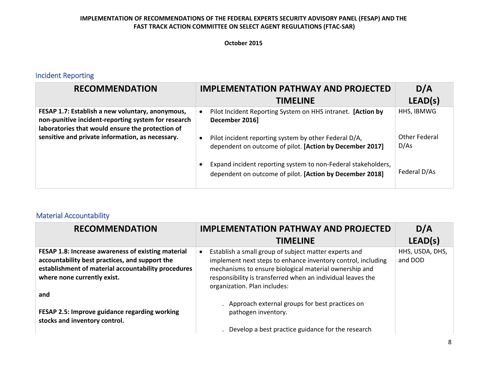#### **October 2015**

# Incident Reporting

| <b>RECOMMENDATION</b>                                                                                                                                       | <b>IMPLEMENTATION PATHWAY AND PROJECTED</b>                                                                               | D/A                          |
|-------------------------------------------------------------------------------------------------------------------------------------------------------------|---------------------------------------------------------------------------------------------------------------------------|------------------------------|
|                                                                                                                                                             | <b>TIMELINE</b>                                                                                                           | LEAD(s)                      |
| FESAP 1.7: Establish a new voluntary, anonymous,<br>non-punitive incident-reporting system for research<br>laboratories that would ensure the protection of | Pilot Incident Reporting System on HHS intranet. [Action by<br>December 2016]                                             | HHS, IBMWG                   |
| sensitive and private information, as necessary.                                                                                                            | Pilot incident reporting system by other Federal D/A,<br>dependent on outcome of pilot. [Action by December 2017]         | <b>Other Federal</b><br>D/As |
|                                                                                                                                                             | Expand incident reporting system to non-Federal stakeholders,<br>dependent on outcome of pilot. [Action by December 2018] | Federal D/As                 |

# Material Accountability

| <b>RECOMMENDATION</b>                                                                                                                                                                      | <b>IMPLEMENTATION PATHWAY AND PROJECTED</b><br><b>TIMELINE</b>                                                                                                                                                                                                                 | D/A<br>LEAD(s)             |
|--------------------------------------------------------------------------------------------------------------------------------------------------------------------------------------------|--------------------------------------------------------------------------------------------------------------------------------------------------------------------------------------------------------------------------------------------------------------------------------|----------------------------|
| FESAP 1.8: Increase awareness of existing material<br>accountability best practices, and support the<br>establishment of material accountability procedures<br>where none currently exist. | Establish a small group of subject matter experts and<br>implement next steps to enhance inventory control, including<br>mechanisms to ensure biological material ownership and<br>responsibility is transferred when an individual leaves the<br>organization. Plan includes: | HHS, USDA, DHS,<br>and DOD |
| and<br>FESAP 2.5: Improve guidance regarding working<br>stocks and inventory control.                                                                                                      | - Approach external groups for best practices on<br>pathogen inventory.<br>- Develop a best practice guidance for the research                                                                                                                                                 |                            |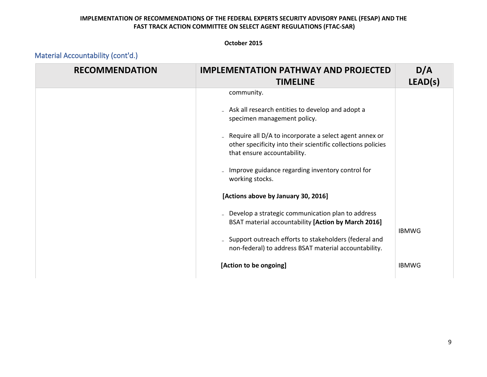#### **October 2015**

|  | Material Accountability (cont'd.) |  |
|--|-----------------------------------|--|
|--|-----------------------------------|--|

| <b>RECOMMENDATION</b> | <b>IMPLEMENTATION PATHWAY AND PROJECTED</b><br><b>TIMELINE</b>                                                                                            | D/A<br>LEAD(s) |
|-----------------------|-----------------------------------------------------------------------------------------------------------------------------------------------------------|----------------|
|                       | community.                                                                                                                                                |                |
|                       | - Ask all research entities to develop and adopt a<br>specimen management policy.                                                                         |                |
|                       | - Require all $D/A$ to incorporate a select agent annex or<br>other specificity into their scientific collections policies<br>that ensure accountability. |                |
|                       | Improve guidance regarding inventory control for<br>working stocks.                                                                                       |                |
|                       | [Actions above by January 30, 2016]                                                                                                                       |                |
|                       | Develop a strategic communication plan to address<br>BSAT material accountability [Action by March 2016]                                                  | <b>IBMWG</b>   |
|                       | - Support outreach efforts to stakeholders (federal and<br>non-federal) to address BSAT material accountability.                                          |                |
|                       | [Action to be ongoing]                                                                                                                                    | <b>IBMWG</b>   |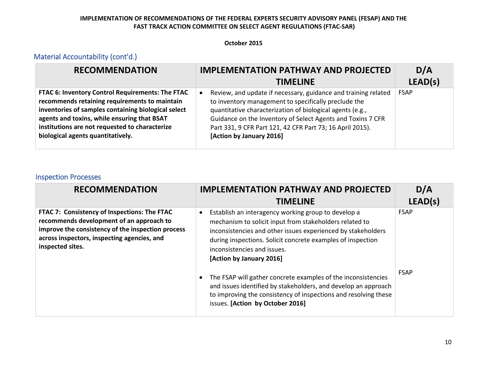#### **October 2015**

# Material Accountability (cont'd.)

| <b>RECOMMENDATION</b>                                                                                                                                                                                                                                                                          | <b>IMPLEMENTATION PATHWAY AND PROJECTED</b>                                                                                                                                                                                                                                                                                                              | D/A         |
|------------------------------------------------------------------------------------------------------------------------------------------------------------------------------------------------------------------------------------------------------------------------------------------------|----------------------------------------------------------------------------------------------------------------------------------------------------------------------------------------------------------------------------------------------------------------------------------------------------------------------------------------------------------|-------------|
|                                                                                                                                                                                                                                                                                                | <b>TIMELINE</b>                                                                                                                                                                                                                                                                                                                                          | LEAD(s)     |
| FTAC 6: Inventory Control Requirements: The FTAC<br>recommends retaining requirements to maintain<br>inventories of samples containing biological select<br>agents and toxins, while ensuring that BSAT<br>institutions are not requested to characterize<br>biological agents quantitatively. | Review, and update if necessary, guidance and training related<br>$\bullet$<br>to inventory management to specifically preclude the<br>quantitative characterization of biological agents (e.g.,<br>Guidance on the Inventory of Select Agents and Toxins 7 CFR<br>Part 331, 9 CFR Part 121, 42 CFR Part 73; 16 April 2015).<br>[Action by January 2016] | <b>FSAP</b> |

#### Inspection Processes

| <b>RECOMMENDATION</b>                                                                                                                                                                                            | <b>IMPLEMENTATION PATHWAY AND PROJECTED</b><br><b>TIMELINE</b>                                                                                                                                                                                                                                                                                                                                                                                                                                                              | D/A<br>LEAD(s)             |
|------------------------------------------------------------------------------------------------------------------------------------------------------------------------------------------------------------------|-----------------------------------------------------------------------------------------------------------------------------------------------------------------------------------------------------------------------------------------------------------------------------------------------------------------------------------------------------------------------------------------------------------------------------------------------------------------------------------------------------------------------------|----------------------------|
| FTAC 7: Consistency of Inspections: The FTAC<br>recommends development of an approach to<br>improve the consistency of the inspection process<br>across inspectors, inspecting agencies, and<br>inspected sites. | Establish an interagency working group to develop a<br>$\bullet$<br>mechanism to solicit input from stakeholders related to<br>inconsistencies and other issues experienced by stakeholders<br>during inspections. Solicit concrete examples of inspection<br>inconsistencies and issues.<br>[Action by January 2016]<br>The FSAP will gather concrete examples of the inconsistencies<br>and issues identified by stakeholders, and develop an approach<br>to improving the consistency of inspections and resolving these | <b>FSAP</b><br><b>FSAP</b> |
|                                                                                                                                                                                                                  | issues. [Action by October 2016]                                                                                                                                                                                                                                                                                                                                                                                                                                                                                            |                            |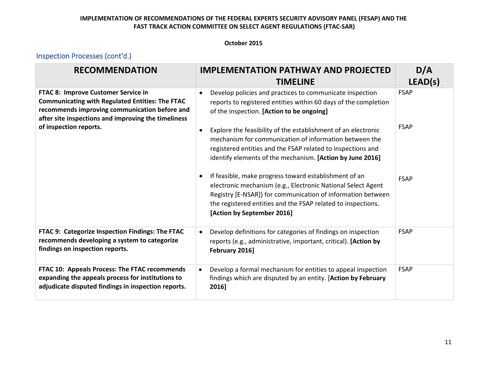#### **October 2015**

# Inspection Processes (cont'd.)

| <b>RECOMMENDATION</b>                                                                                                                                                                                                           | <b>IMPLEMENTATION PATHWAY AND PROJECTED</b><br><b>TIMELINE</b>                                                                                                                                                                                                                                                                                                                                                              | D/A<br>LEAD(s)             |
|---------------------------------------------------------------------------------------------------------------------------------------------------------------------------------------------------------------------------------|-----------------------------------------------------------------------------------------------------------------------------------------------------------------------------------------------------------------------------------------------------------------------------------------------------------------------------------------------------------------------------------------------------------------------------|----------------------------|
| FTAC 8: Improve Customer Service in<br><b>Communicating with Regulated Entities: The FTAC</b><br>recommends improving communication before and<br>after site inspections and improving the timeliness<br>of inspection reports. | Develop policies and practices to communicate inspection<br>$\bullet$<br>reports to registered entities within 60 days of the completion<br>of the inspection. [Action to be ongoing]<br>Explore the feasibility of the establishment of an electronic<br>$\bullet$<br>mechanism for communication of information between the                                                                                               | <b>FSAP</b><br><b>FSAP</b> |
|                                                                                                                                                                                                                                 | registered entities and the FSAP related to inspections and<br>identify elements of the mechanism. [Action by June 2016]<br>If feasible, make progress toward establishment of an<br>$\bullet$<br>electronic mechanism (e.g., Electronic National Select Agent<br>Registry [E-NSAR]) for communication of information between<br>the registered entities and the FSAP related to inspections.<br>[Action by September 2016] | <b>FSAP</b>                |
| FTAC 9: Categorize Inspection Findings: The FTAC<br>recommends developing a system to categorize<br>findings on inspection reports.                                                                                             | Develop definitions for categories of findings on inspection<br>$\bullet$<br>reports (e.g., administrative, important, critical). [Action by<br>February 2016]                                                                                                                                                                                                                                                              | <b>FSAP</b>                |
| FTAC 10: Appeals Process: The FTAC recommends<br>expanding the appeals process for institutions to<br>adjudicate disputed findings in inspection reports.                                                                       | Develop a formal mechanism for entities to appeal inspection<br>$\bullet$<br>findings which are disputed by an entity. [Action by February<br>2016]                                                                                                                                                                                                                                                                         | <b>FSAP</b>                |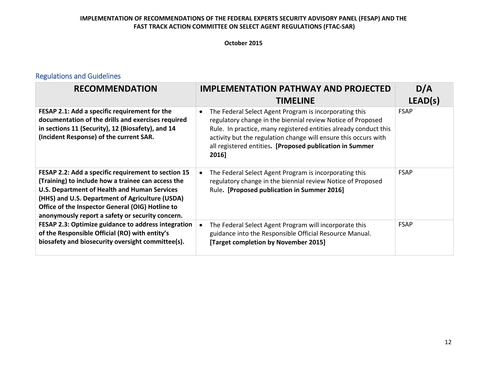#### **October 2015**

## Regulations and Guidelines

| <b>RECOMMENDATION</b>                                                                                                                                                                                                                                                                                                | <b>IMPLEMENTATION PATHWAY AND PROJECTED</b><br><b>TIMELINE</b>                                                                                                                                                                                                                                                                                 | D/A<br>LEAD(s) |
|----------------------------------------------------------------------------------------------------------------------------------------------------------------------------------------------------------------------------------------------------------------------------------------------------------------------|------------------------------------------------------------------------------------------------------------------------------------------------------------------------------------------------------------------------------------------------------------------------------------------------------------------------------------------------|----------------|
| FESAP 2.1: Add a specific requirement for the<br>documentation of the drills and exercises required<br>in sections 11 (Security), 12 (Biosafety), and 14<br>(Incident Response) of the current SAR.                                                                                                                  | The Federal Select Agent Program is incorporating this<br>$\bullet$<br>regulatory change in the biennial review Notice of Proposed<br>Rule. In practice, many registered entities already conduct this<br>activity but the regulation change will ensure this occurs with<br>all registered entities. [Proposed publication in Summer<br>2016] | <b>FSAP</b>    |
| FESAP 2.2: Add a specific requirement to section 15<br>(Training) to include how a trainee can access the<br>U.S. Department of Health and Human Services<br>(HHS) and U.S. Department of Agriculture (USDA)<br>Office of the Inspector General (OIG) Hotline to<br>anonymously report a safety or security concern. | The Federal Select Agent Program is incorporating this<br>regulatory change in the biennial review Notice of Proposed<br>Rule. [Proposed publication in Summer 2016]                                                                                                                                                                           | <b>FSAP</b>    |
| FESAP 2.3: Optimize guidance to address integration<br>of the Responsible Official (RO) with entity's<br>biosafety and biosecurity oversight committee(s).                                                                                                                                                           | The Federal Select Agent Program will incorporate this<br>guidance into the Responsible Official Resource Manual.<br>[Target completion by November 2015]                                                                                                                                                                                      | <b>FSAP</b>    |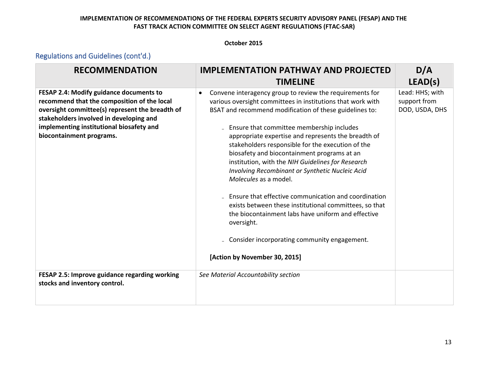#### **October 2015**

| <b>RECOMMENDATION</b>                                                                                                                                                                                                                                        | <b>IMPLEMENTATION PATHWAY AND PROJECTED</b>                                                                                                                                                                                                                                                                                                                                                                                                                                                                                                                                                                                                                                                                                                                                                                       | D/A                                               |
|--------------------------------------------------------------------------------------------------------------------------------------------------------------------------------------------------------------------------------------------------------------|-------------------------------------------------------------------------------------------------------------------------------------------------------------------------------------------------------------------------------------------------------------------------------------------------------------------------------------------------------------------------------------------------------------------------------------------------------------------------------------------------------------------------------------------------------------------------------------------------------------------------------------------------------------------------------------------------------------------------------------------------------------------------------------------------------------------|---------------------------------------------------|
|                                                                                                                                                                                                                                                              | <b>TIMELINE</b>                                                                                                                                                                                                                                                                                                                                                                                                                                                                                                                                                                                                                                                                                                                                                                                                   | LEAD(s)                                           |
| FESAP 2.4: Modify guidance documents to<br>recommend that the composition of the local<br>oversight committee(s) represent the breadth of<br>stakeholders involved in developing and<br>implementing institutional biosafety and<br>biocontainment programs. | Convene interagency group to review the requirements for<br>$\bullet$<br>various oversight committees in institutions that work with<br>BSAT and recommend modification of these guidelines to:<br>Ensure that committee membership includes<br>appropriate expertise and represents the breadth of<br>stakeholders responsible for the execution of the<br>biosafety and biocontainment programs at an<br>institution, with the NIH Guidelines for Research<br>Involving Recombinant or Synthetic Nucleic Acid<br>Molecules as a model.<br>- Ensure that effective communication and coordination<br>exists between these institutional committees, so that<br>the biocontainment labs have uniform and effective<br>oversight.<br>Consider incorporating community engagement.<br>[Action by November 30, 2015] | Lead: HHS; with<br>support from<br>DOD, USDA, DHS |
| FESAP 2.5: Improve guidance regarding working<br>stocks and inventory control.                                                                                                                                                                               | See Material Accountability section                                                                                                                                                                                                                                                                                                                                                                                                                                                                                                                                                                                                                                                                                                                                                                               |                                                   |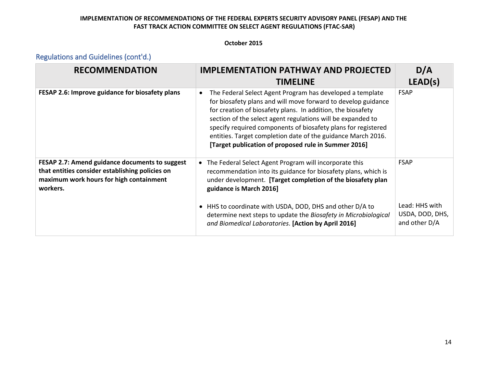#### **October 2015**

| <b>RECOMMENDATION</b>                                                                                                                                    | <b>IMPLEMENTATION PATHWAY AND PROJECTED</b><br><b>TIMELINE</b>                                                                                                                                                                                                                                                                                                                                                                                    | D/A<br>LEAD(s)                                     |
|----------------------------------------------------------------------------------------------------------------------------------------------------------|---------------------------------------------------------------------------------------------------------------------------------------------------------------------------------------------------------------------------------------------------------------------------------------------------------------------------------------------------------------------------------------------------------------------------------------------------|----------------------------------------------------|
| FESAP 2.6: Improve guidance for biosafety plans                                                                                                          | The Federal Select Agent Program has developed a template<br>for biosafety plans and will move forward to develop guidance<br>for creation of biosafety plans. In addition, the biosafety<br>section of the select agent regulations will be expanded to<br>specify required components of biosafety plans for registered<br>entities. Target completion date of the guidance March 2016.<br>[Target publication of proposed rule in Summer 2016] | <b>FSAP</b>                                        |
| FESAP 2.7: Amend guidance documents to suggest<br>that entities consider establishing policies on<br>maximum work hours for high containment<br>workers. | The Federal Select Agent Program will incorporate this<br>recommendation into its guidance for biosafety plans, which is<br>under development. [Target completion of the biosafety plan<br>guidance is March 2016]                                                                                                                                                                                                                                | <b>FSAP</b>                                        |
|                                                                                                                                                          | • HHS to coordinate with USDA, DOD, DHS and other D/A to<br>determine next steps to update the Biosafety in Microbiological<br>and Biomedical Laboratories. [Action by April 2016]                                                                                                                                                                                                                                                                | Lead: HHS with<br>USDA, DOD, DHS,<br>and other D/A |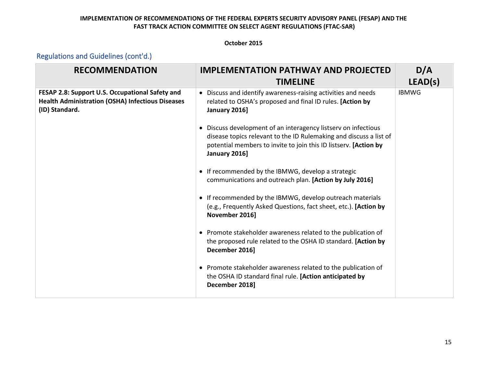#### **October 2015**

| <b>RECOMMENDATION</b>                                                                                                        | <b>IMPLEMENTATION PATHWAY AND PROJECTED</b>                                                                                                                                                                               | D/A          |
|------------------------------------------------------------------------------------------------------------------------------|---------------------------------------------------------------------------------------------------------------------------------------------------------------------------------------------------------------------------|--------------|
|                                                                                                                              | <b>TIMELINE</b>                                                                                                                                                                                                           | LEAD(s)      |
| FESAP 2.8: Support U.S. Occupational Safety and<br><b>Health Administration (OSHA) Infectious Diseases</b><br>(ID) Standard. | Discuss and identify awareness-raising activities and needs<br>related to OSHA's proposed and final ID rules. [Action by<br>January 2016]                                                                                 | <b>IBMWG</b> |
|                                                                                                                              | • Discuss development of an interagency listserv on infectious<br>disease topics relevant to the ID Rulemaking and discuss a list of<br>potential members to invite to join this ID listserv. [Action by<br>January 2016] |              |
|                                                                                                                              | • If recommended by the IBMWG, develop a strategic<br>communications and outreach plan. [Action by July 2016]                                                                                                             |              |
|                                                                                                                              | • If recommended by the IBMWG, develop outreach materials<br>(e.g., Frequently Asked Questions, fact sheet, etc.). [Action by<br>November 2016]                                                                           |              |
|                                                                                                                              | • Promote stakeholder awareness related to the publication of<br>the proposed rule related to the OSHA ID standard. [Action by<br>December 2016]                                                                          |              |
|                                                                                                                              | • Promote stakeholder awareness related to the publication of<br>the OSHA ID standard final rule. [Action anticipated by<br>December 2018]                                                                                |              |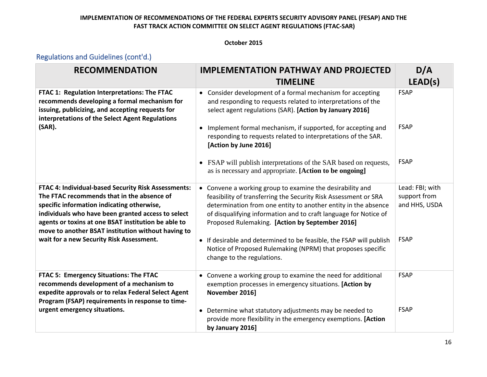#### **October 2015**

| <b>RECOMMENDATION</b>                                                                                                                                                                                                                                                                                              | <b>IMPLEMENTATION PATHWAY AND PROJECTED</b>                                                                                                                                                                                                                                                                         | D/A                                              |
|--------------------------------------------------------------------------------------------------------------------------------------------------------------------------------------------------------------------------------------------------------------------------------------------------------------------|---------------------------------------------------------------------------------------------------------------------------------------------------------------------------------------------------------------------------------------------------------------------------------------------------------------------|--------------------------------------------------|
|                                                                                                                                                                                                                                                                                                                    | <b>TIMELINE</b>                                                                                                                                                                                                                                                                                                     | LEAD(s)                                          |
| FTAC 1: Regulation Interpretations: The FTAC<br>recommends developing a formal mechanism for<br>issuing, publicizing, and accepting requests for<br>interpretations of the Select Agent Regulations                                                                                                                | • Consider development of a formal mechanism for accepting<br>and responding to requests related to interpretations of the<br>select agent regulations (SAR). [Action by January 2016]                                                                                                                              | <b>FSAP</b>                                      |
| (SAR).                                                                                                                                                                                                                                                                                                             | Implement formal mechanism, if supported, for accepting and<br>$\bullet$<br>responding to requests related to interpretations of the SAR.<br>[Action by June 2016]                                                                                                                                                  | <b>FSAP</b>                                      |
|                                                                                                                                                                                                                                                                                                                    | FSAP will publish interpretations of the SAR based on requests,<br>$\bullet$<br>as is necessary and appropriate. [Action to be ongoing]                                                                                                                                                                             | <b>FSAP</b>                                      |
| FTAC 4: Individual-based Security Risk Assessments:<br>The FTAC recommends that in the absence of<br>specific information indicating otherwise,<br>individuals who have been granted access to select<br>agents or toxins at one BSAT institution be able to<br>move to another BSAT institution without having to | Convene a working group to examine the desirability and<br>feasibility of transferring the Security Risk Assessment or SRA<br>determination from one entity to another entity in the absence<br>of disqualifying information and to craft language for Notice of<br>Proposed Rulemaking. [Action by September 2016] | Lead: FBI; with<br>support from<br>and HHS, USDA |
| wait for a new Security Risk Assessment.                                                                                                                                                                                                                                                                           | • If desirable and determined to be feasible, the FSAP will publish<br>Notice of Proposed Rulemaking (NPRM) that proposes specific<br>change to the regulations.                                                                                                                                                    | <b>FSAP</b>                                      |
| FTAC 5: Emergency Situations: The FTAC<br>recommends development of a mechanism to<br>expedite approvals or to relax Federal Select Agent<br>Program (FSAP) requirements in response to time-                                                                                                                      | Convene a working group to examine the need for additional<br>exemption processes in emergency situations. [Action by<br>November 2016]                                                                                                                                                                             | <b>FSAP</b>                                      |
| urgent emergency situations.                                                                                                                                                                                                                                                                                       | Determine what statutory adjustments may be needed to<br>$\bullet$<br>provide more flexibility in the emergency exemptions. [Action<br>by January 2016]                                                                                                                                                             | <b>FSAP</b>                                      |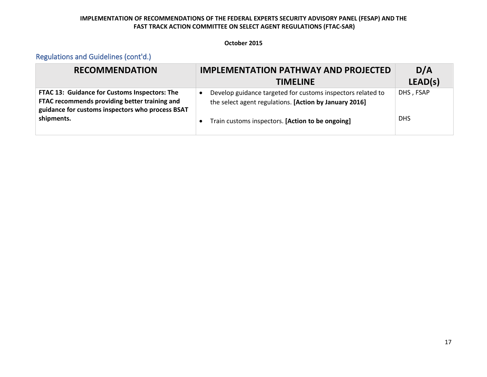#### **October 2015**

| <b>RECOMMENDATION</b>                                                                                                                                            | <b>IMPLEMENTATION PATHWAY AND PROJECTED</b>                                                                                        | D/A        |
|------------------------------------------------------------------------------------------------------------------------------------------------------------------|------------------------------------------------------------------------------------------------------------------------------------|------------|
|                                                                                                                                                                  | <b>TIMELINE</b>                                                                                                                    | LEAD(s)    |
| FTAC 13: Guidance for Customs Inspectors: The<br>FTAC recommends providing better training and<br>guidance for customs inspectors who process BSAT<br>shipments. | Develop guidance targeted for customs inspectors related to<br>$\bullet$<br>the select agent regulations. [Action by January 2016] | DHS, FSAP  |
|                                                                                                                                                                  | Train customs inspectors. [Action to be ongoing]<br>$\bullet$                                                                      | <b>DHS</b> |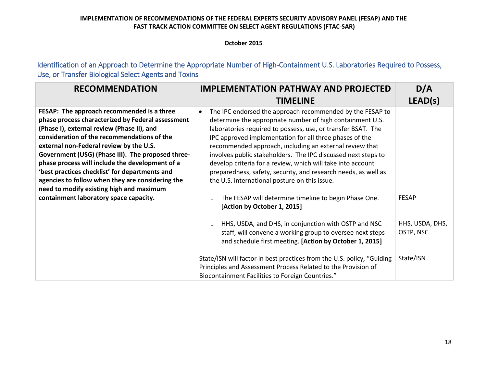#### **October 2015**

Identification of an Approach to Determine the Appropriate Number of High-Containment U.S. Laboratories Required to Possess, Use, or Transfer Biological Select Agents and Toxins

| <b>RECOMMENDATION</b>                             | <b>IMPLEMENTATION PATHWAY AND PROJECTED</b>                                                                                                                                                 | D/A             |
|---------------------------------------------------|---------------------------------------------------------------------------------------------------------------------------------------------------------------------------------------------|-----------------|
|                                                   | <b>TIMELINE</b>                                                                                                                                                                             | LEAD(s)         |
| FESAP: The approach recommended is a three        | The IPC endorsed the approach recommended by the FESAP to<br>$\bullet$                                                                                                                      |                 |
| phase process characterized by Federal assessment | determine the appropriate number of high containment U.S.                                                                                                                                   |                 |
| (Phase I), external review (Phase II), and        | laboratories required to possess, use, or transfer BSAT. The                                                                                                                                |                 |
| consideration of the recommendations of the       | IPC approved implementation for all three phases of the                                                                                                                                     |                 |
| external non-Federal review by the U.S.           | recommended approach, including an external review that                                                                                                                                     |                 |
| Government (USG) (Phase III). The proposed three- | involves public stakeholders. The IPC discussed next steps to                                                                                                                               |                 |
| phase process will include the development of a   | develop criteria for a review, which will take into account                                                                                                                                 |                 |
| 'best practices checklist' for departments and    | preparedness, safety, security, and research needs, as well as                                                                                                                              |                 |
| agencies to follow when they are considering the  | the U.S. international posture on this issue.                                                                                                                                               |                 |
| need to modify existing high and maximum          |                                                                                                                                                                                             |                 |
| containment laboratory space capacity.            | The FESAP will determine timeline to begin Phase One.                                                                                                                                       | <b>FESAP</b>    |
|                                                   | [Action by October 1, 2015]                                                                                                                                                                 |                 |
|                                                   | HHS, USDA, and DHS, in conjunction with OSTP and NSC                                                                                                                                        | HHS, USDA, DHS, |
|                                                   | staff, will convene a working group to oversee next steps                                                                                                                                   | OSTP, NSC       |
|                                                   | and schedule first meeting. [Action by October 1, 2015]                                                                                                                                     |                 |
|                                                   | State/ISN will factor in best practices from the U.S. policy, "Guiding<br>Principles and Assessment Process Related to the Provision of<br>Biocontainment Facilities to Foreign Countries." | State/ISN       |